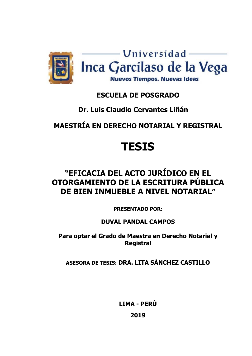

### **ESCUELA DE POSGRADO**

### **Dr. Luis Claudio Cervantes Liñán**

## **MAESTRÍA EN DERECHO NOTARIAL Y REGISTRAL**

# **TESIS**

# **"EFICACIA DEL ACTO JURÍDICO EN EL OTORGAMIENTO DE LA ESCRITURA PÚBLICA DE BIEN INMUEBLE A NIVEL NOTARIAL"**

**PRESENTADO POR:**

**DUVAL PANDAL CAMPOS**

**Para optar el Grado de Maestra en Derecho Notarial y Registral**

**ASESORA DE TESIS: DRA. LITA SÁNCHEZ CASTILLO**

**LIMA - PERÚ 2019**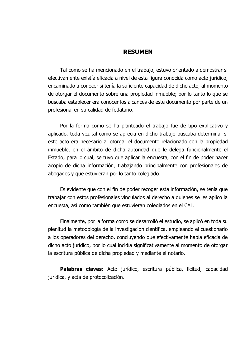#### **RESUMEN**

Tal como se ha mencionado en el trabajo, estuvo orientado a demostrar si efectivamente existía eficacia a nivel de esta figura conocida como acto jurídico, encaminado a conocer si tenía la suficiente capacidad de dicho acto, al momento de otorgar el documento sobre una propiedad inmueble; por lo tanto lo que se buscaba establecer era conocer los alcances de este documento por parte de un profesional en su calidad de fedatario.

Por la forma como se ha planteado el trabajo fue de tipo explicativo y aplicado, toda vez tal como se aprecia en dicho trabajo buscaba determinar si este acto era necesario al otorgar el documento relacionado con la propiedad inmueble, en el ámbito de dicha autoridad que le delega funcionalmente el Estado; para lo cual, se tuvo que aplicar la encuesta, con el fin de poder hacer acopio de dicha información, trabajando principalmente con profesionales de abogados y que estuvieran por lo tanto colegiado.

Es evidente que con el fin de poder recoger esta información, se tenía que trabajar con estos profesionales vinculados al derecho a quienes se les aplico la encuesta, así como también que estuvieran colegiados en el CAL.

Finalmente, por la forma como se desarrolló el estudio, se aplicó en toda su plenitud la metodología de la investigación científica, empleando el cuestionario a los operadores del derecho, concluyendo que efectivamente había eficacia de dicho acto jurídico, por lo cual incidía significativamente al momento de otorgar la escritura pública de dicha propiedad y mediante el notario.

**Palabras claves:** Acto jurídico, escritura pública, licitud, capacidad jurídica, y acta de protocolización.